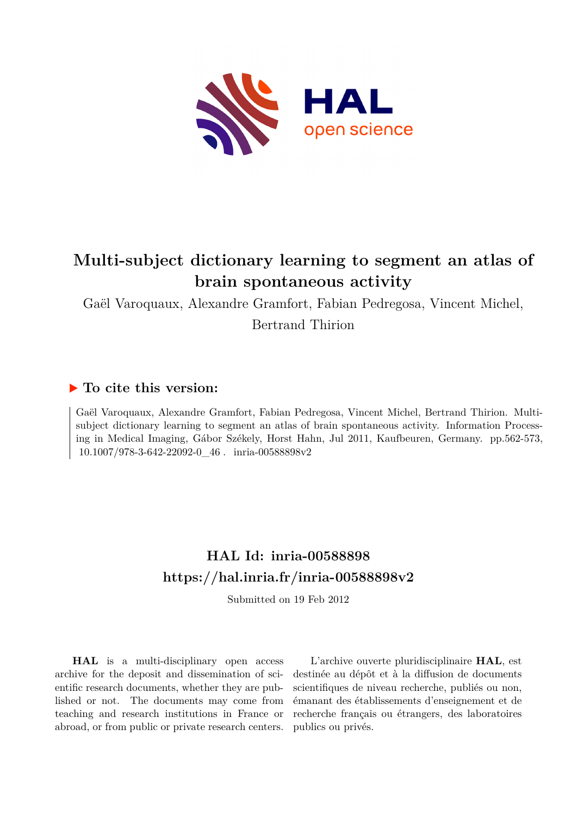

# **Multi-subject dictionary learning to segment an atlas of brain spontaneous activity**

Gaël Varoquaux, Alexandre Gramfort, Fabian Pedregosa, Vincent Michel, Bertrand Thirion

# **To cite this version:**

Gaël Varoquaux, Alexandre Gramfort, Fabian Pedregosa, Vincent Michel, Bertrand Thirion. Multisubject dictionary learning to segment an atlas of brain spontaneous activity. Information Processing in Medical Imaging, Gábor Székely, Horst Hahn, Jul 2011, Kaufbeuren, Germany. pp.562-573,  $10.1007/978-3-642-22092-0\_46$ . inria-00588898v2

# **HAL Id: inria-00588898 <https://hal.inria.fr/inria-00588898v2>**

Submitted on 19 Feb 2012

**HAL** is a multi-disciplinary open access archive for the deposit and dissemination of scientific research documents, whether they are published or not. The documents may come from teaching and research institutions in France or abroad, or from public or private research centers.

L'archive ouverte pluridisciplinaire **HAL**, est destinée au dépôt et à la diffusion de documents scientifiques de niveau recherche, publiés ou non, émanant des établissements d'enseignement et de recherche français ou étrangers, des laboratoires publics ou privés.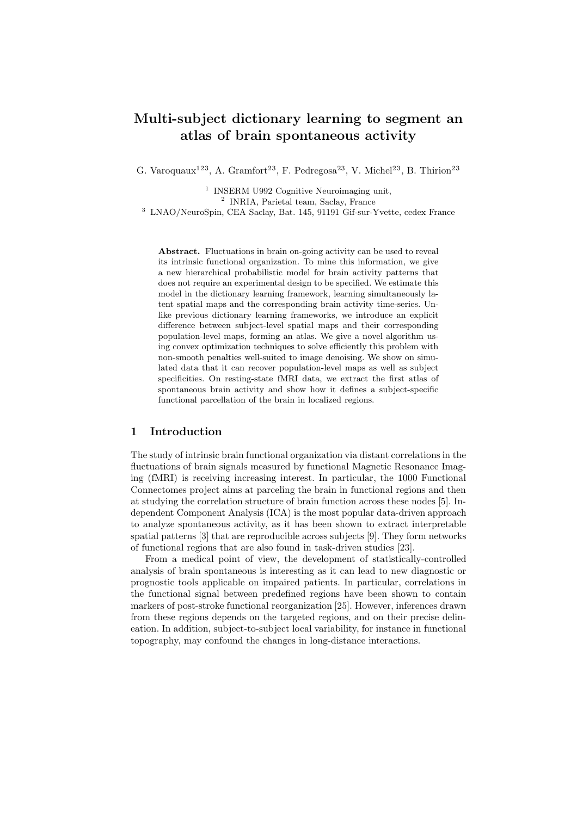# Multi-subject dictionary learning to segment an atlas of brain spontaneous activity

G. Varoquaux<sup>123</sup>, A. Gramfort<sup>23</sup>, F. Pedregosa<sup>23</sup>, V. Michel<sup>23</sup>, B. Thirion<sup>23</sup>

<sup>1</sup> INSERM U992 Cognitive Neuroimaging unit,

2 INRIA, Parietal team, Saclay, France

<sup>3</sup> LNAO/NeuroSpin, CEA Saclay, Bat. 145, 91191 Gif-sur-Yvette, cedex France

Abstract. Fluctuations in brain on-going activity can be used to reveal its intrinsic functional organization. To mine this information, we give a new hierarchical probabilistic model for brain activity patterns that does not require an experimental design to be specified. We estimate this model in the dictionary learning framework, learning simultaneously latent spatial maps and the corresponding brain activity time-series. Unlike previous dictionary learning frameworks, we introduce an explicit difference between subject-level spatial maps and their corresponding population-level maps, forming an atlas. We give a novel algorithm using convex optimization techniques to solve efficiently this problem with non-smooth penalties well-suited to image denoising. We show on simulated data that it can recover population-level maps as well as subject specificities. On resting-state fMRI data, we extract the first atlas of spontaneous brain activity and show how it defines a subject-specific functional parcellation of the brain in localized regions.

# 1 Introduction

The study of intrinsic brain functional organization via distant correlations in the fluctuations of brain signals measured by functional Magnetic Resonance Imaging (fMRI) is receiving increasing interest. In particular, the 1000 Functional Connectomes project aims at parceling the brain in functional regions and then at studying the correlation structure of brain function across these nodes [5]. Independent Component Analysis (ICA) is the most popular data-driven approach to analyze spontaneous activity, as it has been shown to extract interpretable spatial patterns [3] that are reproducible across subjects [9]. They form networks of functional regions that are also found in task-driven studies [23].

From a medical point of view, the development of statistically-controlled analysis of brain spontaneous is interesting as it can lead to new diagnostic or prognostic tools applicable on impaired patients. In particular, correlations in the functional signal between predefined regions have been shown to contain markers of post-stroke functional reorganization [25]. However, inferences drawn from these regions depends on the targeted regions, and on their precise delineation. In addition, subject-to-subject local variability, for instance in functional topography, may confound the changes in long-distance interactions.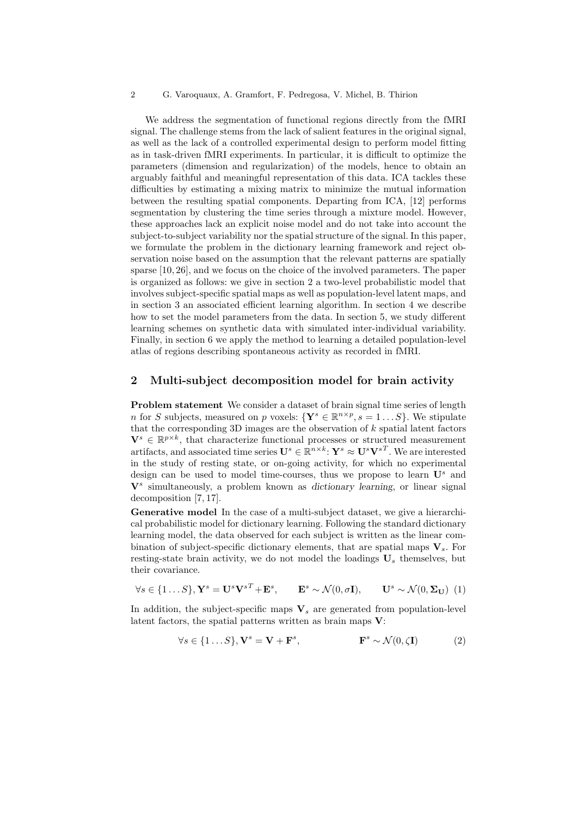We address the segmentation of functional regions directly from the fMRI signal. The challenge stems from the lack of salient features in the original signal, as well as the lack of a controlled experimental design to perform model fitting as in task-driven fMRI experiments. In particular, it is difficult to optimize the parameters (dimension and regularization) of the models, hence to obtain an arguably faithful and meaningful representation of this data. ICA tackles these difficulties by estimating a mixing matrix to minimize the mutual information between the resulting spatial components. Departing from ICA, [12] performs segmentation by clustering the time series through a mixture model. However, these approaches lack an explicit noise model and do not take into account the subject-to-subject variability nor the spatial structure of the signal. In this paper, we formulate the problem in the dictionary learning framework and reject observation noise based on the assumption that the relevant patterns are spatially sparse [10, 26], and we focus on the choice of the involved parameters. The paper is organized as follows: we give in section 2 a two-level probabilistic model that involves subject-specific spatial maps as well as population-level latent maps, and in section 3 an associated efficient learning algorithm. In section 4 we describe how to set the model parameters from the data. In section 5, we study different learning schemes on synthetic data with simulated inter-individual variability. Finally, in section 6 we apply the method to learning a detailed population-level atlas of regions describing spontaneous activity as recorded in fMRI.

## 2 Multi-subject decomposition model for brain activity

Problem statement We consider a dataset of brain signal time series of length n for S subjects, measured on p voxels:  $\{Y^s \in \mathbb{R}^{n \times p}, s = 1...S\}$ . We stipulate that the corresponding 3D images are the observation of  $k$  spatial latent factors  $\mathbf{V}^s \in \mathbb{R}^{p \times k}$ , that characterize functional processes or structured measurement artifacts, and associated time series  $\mathbf{U}^s \in \mathbb{R}^{n \times k}$ :  $\mathbf{Y}^s \approx \mathbf{U}^s \mathbf{V}^{sT}$ . We are interested in the study of resting state, or on-going activity, for which no experimental design can be used to model time-courses, thus we propose to learn  $\mathbf{U}^s$  and  $V^s$  simultaneously, a problem known as dictionary learning, or linear signal decomposition [7, 17].

Generative model In the case of a multi-subject dataset, we give a hierarchical probabilistic model for dictionary learning. Following the standard dictionary learning model, the data observed for each subject is written as the linear combination of subject-specific dictionary elements, that are spatial maps  $V_s$ . For resting-state brain activity, we do not model the loadings  $U_s$  themselves, but their covariance.

$$
\forall s \in \{1...S\}, \mathbf{Y}^s = \mathbf{U}^s \mathbf{V}^{s} + \mathbf{E}^s, \qquad \mathbf{E}^s \sim \mathcal{N}(0, \sigma \mathbf{I}), \qquad \mathbf{U}^s \sim \mathcal{N}(0, \Sigma_{\mathbf{U}}) \tag{1}
$$

In addition, the subject-specific maps  $V_s$  are generated from population-level latent factors, the spatial patterns written as brain maps V:

$$
\forall s \in \{1...S\}, \mathbf{V}^s = \mathbf{V} + \mathbf{F}^s, \qquad \qquad \mathbf{F}^s \sim \mathcal{N}(0, \zeta \mathbf{I}) \tag{2}
$$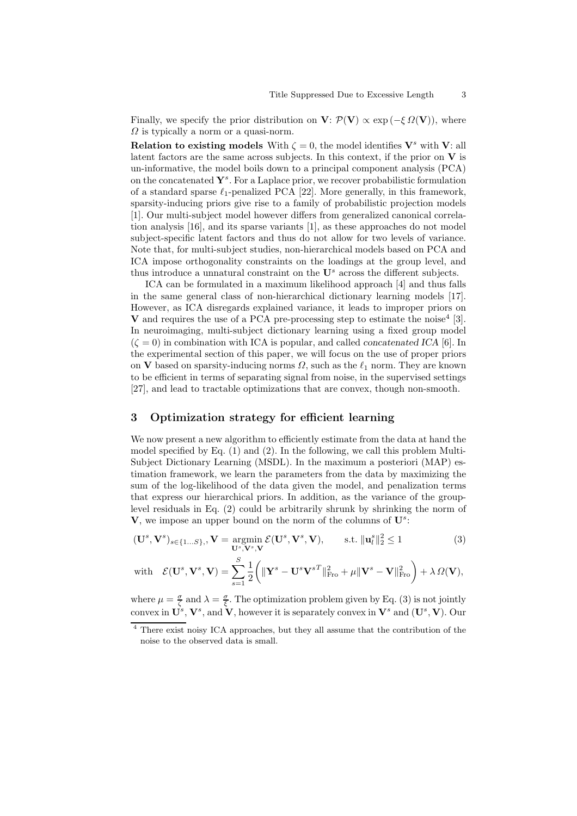Finally, we specify the prior distribution on  $V: \mathcal{P}(V) \propto \exp(-\xi \Omega(V))$ , where  $\Omega$  is typically a norm or a quasi-norm.

**Relation to existing models** With  $\zeta = 0$ , the model identifies  $V^s$  with V: all latent factors are the same across subjects. In this context, if the prior on  $V$  is un-informative, the model boils down to a principal component analysis (PCA) on the concatenated  $\mathbf{Y}^s$ . For a Laplace prior, we recover probabilistic formulation of a standard sparse  $\ell_1$ -penalized PCA [22]. More generally, in this framework, sparsity-inducing priors give rise to a family of probabilistic projection models [1]. Our multi-subject model however differs from generalized canonical correlation analysis [16], and its sparse variants [1], as these approaches do not model subject-specific latent factors and thus do not allow for two levels of variance. Note that, for multi-subject studies, non-hierarchical models based on PCA and ICA impose orthogonality constraints on the loadings at the group level, and thus introduce a unnatural constraint on the  $\mathbf{U}^s$  across the different subjects.

ICA can be formulated in a maximum likelihood approach [4] and thus falls in the same general class of non-hierarchical dictionary learning models [17]. However, as ICA disregards explained variance, it leads to improper priors on  $V$  and requires the use of a PCA pre-processing step to estimate the noise<sup>4</sup> [3]. In neuroimaging, multi-subject dictionary learning using a fixed group model  $(\zeta = 0)$  in combination with ICA is popular, and called *concatenated ICA* [6]. In the experimental section of this paper, we will focus on the use of proper priors on V based on sparsity-inducing norms  $\Omega$ , such as the  $\ell_1$  norm. They are known to be efficient in terms of separating signal from noise, in the supervised settings [27], and lead to tractable optimizations that are convex, though non-smooth.

# 3 Optimization strategy for efficient learning

We now present a new algorithm to efficiently estimate from the data at hand the model specified by Eq. (1) and (2). In the following, we call this problem Multi-Subject Dictionary Learning (MSDL). In the maximum a posteriori (MAP) estimation framework, we learn the parameters from the data by maximizing the sum of the log-likelihood of the data given the model, and penalization terms that express our hierarchical priors. In addition, as the variance of the grouplevel residuals in Eq. (2) could be arbitrarily shrunk by shrinking the norm of  $V$ , we impose an upper bound on the norm of the columns of  $U^s$ :

$$
(\mathbf{U}^s, \mathbf{V}^s)_{s \in \{1...S\}}, \mathbf{V} = \operatorname*{argmin}_{\mathbf{U}^s, \mathbf{V}^s, \mathbf{V}} \mathcal{E}(\mathbf{U}^s, \mathbf{V}^s, \mathbf{V}), \qquad \text{s.t. } \|\mathbf{u}_l^s\|_2^2 \le 1
$$
 (3)

with 
$$
\mathcal{E}(\mathbf{U}^s, \mathbf{V}^s, \mathbf{V}) = \sum_{s=1}^S \frac{1}{2} \left( \|\mathbf{Y}^s - \mathbf{U}^s \mathbf{V}^{sT}\|_{\text{Fro}}^2 + \mu \|\mathbf{V}^s - \mathbf{V}\|_{\text{Fro}}^2 \right) + \lambda \Omega(\mathbf{V}),
$$

where  $\mu = \frac{\sigma}{\zeta}$  and  $\lambda = \frac{\sigma}{\xi}$ . The optimization problem given by Eq. (3) is not jointly convex in  $\mathbf{U}^s$ ,  $\mathbf{V}^s$ , and  $\mathbf{V}$ , however it is separately convex in  $\mathbf{V}^s$  and  $(\mathbf{U}^s, \mathbf{V})$ . Our

<sup>4</sup> There exist noisy ICA approaches, but they all assume that the contribution of the noise to the observed data is small.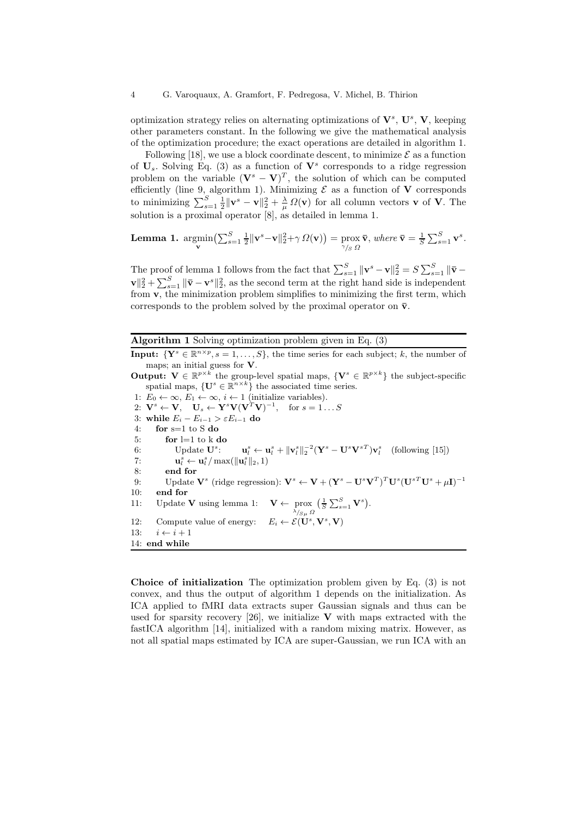optimization strategy relies on alternating optimizations of  $V^s$ ,  $U^s$ ,  $V$ , keeping other parameters constant. In the following we give the mathematical analysis of the optimization procedure; the exact operations are detailed in algorithm 1.

Following [18], we use a block coordinate descent, to minimize  $\mathcal E$  as a function of  $U_s$ . Solving Eq. (3) as a function of  $V^s$  corresponds to a ridge regression problem on the variable  $(\mathbf{V}^s - \mathbf{V})^T$ , the solution of which can be computed efficiently (line 9, algorithm 1). Minimizing  $\mathcal E$  as a function of **V** corresponds to minimizing  $\sum_{s=1}^{S} \frac{1}{2} ||\mathbf{v}^s - \mathbf{v}||_2^2 + \frac{\lambda}{\mu} \Omega(\mathbf{v})$  for all column vectors **v** of **V**. The solution is a proximal operator [8], as detailed in lemma 1.

**Lemma 1.** 
$$
\underset{\mathbf{v}}{\operatorname{argmin}} \left( \sum_{s=1}^{S} \frac{1}{2} \|\mathbf{v}^{s} - \mathbf{v}\|_{2}^{2} + \gamma \Omega(\mathbf{v}) \right) = \underset{\gamma_{/S}}{\operatorname{prox}} \overline{\mathbf{v}}, \text{ where } \overline{\mathbf{v}} = \frac{1}{S} \sum_{s=1}^{S} \mathbf{v}^{s}.
$$

The proof of lemma 1 follows from the fact that  $\sum_{s=1}^{S} ||\mathbf{v}^s - \mathbf{v}||_2^2 = S \sum_{s=1}^{S} ||\bar{\mathbf{v}} - \bar{\mathbf{v}}||_2^2$  $\mathbf{v}\Vert_2^2 + \sum_{s=1}^S \Vert \mathbf{\bar{v}} - \mathbf{v}^s \Vert_2^2$ , as the second term at the right hand side is independent from v, the minimization problem simplifies to minimizing the first term, which corresponds to the problem solved by the proximal operator on  $\bar{\mathbf{v}}$ .

Algorithm 1 Solving optimization problem given in Eq. (3)

**Input:**  $\{Y^s \in \mathbb{R}^{n \times p}, s = 1, ..., S\}$ , the time series for each subject; k, the number of maps; an initial guess for  $V$ .

**Output:**  $\mathbf{V} \in \mathbb{R}^{p \times k}$  the group-level spatial maps,  $\{\mathbf{V}^s \in \mathbb{R}^{p \times k}\}\$  the subject-specific spatial maps,  $\{U^s \in \mathbb{R}^{n \times k}\}\$  the associated time series.

1:  $E_0 \leftarrow \infty$ ,  $E_1 \leftarrow \infty$ ,  $i \leftarrow 1$  (initialize variables). 2:  $\mathbf{V}^s \leftarrow \mathbf{V}, \quad \mathbf{U}_s \leftarrow \mathbf{Y}^s \mathbf{V} (\mathbf{V}^T \mathbf{V})^{-1}, \quad \text{for } s = 1...S$ 3: while  $E_i - E_{i-1} > \varepsilon E_{i-1}$  do<br>4: for s=1 to S do for  $s=1$  to S do 5: for  $l=1$  to k do 6: Update  $\mathbf{U}^s$ : :  $\mathbf{u}_l^s \leftarrow \mathbf{u}_l^s + ||\mathbf{v}_l^s||_2^{-2} (\mathbf{Y}^s - \mathbf{U}^s \mathbf{V}^{sT}) \mathbf{v}_l^s$  (following [15])  $7:$  $\mathbf{u}_l^s \leftarrow \mathbf{u}_l^s / \max(\|\mathbf{u}_l^s\|_2, 1)$ 8: end for 9: Update  $\mathbf{V}^s$  (ridge regression):  $\mathbf{V}^s \leftarrow \mathbf{V} + (\mathbf{Y}^s - \mathbf{U}^s \mathbf{V}^T)^T \mathbf{U}^s (\mathbf{U}^{sT} \mathbf{U}^s + \mu \mathbf{I})^{-1}$ 10: end for 11: Update  $V$  using lemma 1:  $\lambda_{S\mu}$  Ω  $\left(\frac{1}{S}\sum_{s=1}^S \mathbf{V}^s\right).$ 12: Compute value of energy:<br>13:  $i \leftarrow i+1$  $, \mathbf{V}^s, \mathbf{V})$  $i \leftarrow i + 1$ 14: end while

Choice of initialization The optimization problem given by Eq. (3) is not convex, and thus the output of algorithm 1 depends on the initialization. As ICA applied to fMRI data extracts super Gaussian signals and thus can be used for sparsity recovery [26], we initialize  $V$  with maps extracted with the fastICA algorithm [14], initialized with a random mixing matrix. However, as not all spatial maps estimated by ICA are super-Gaussian, we run ICA with an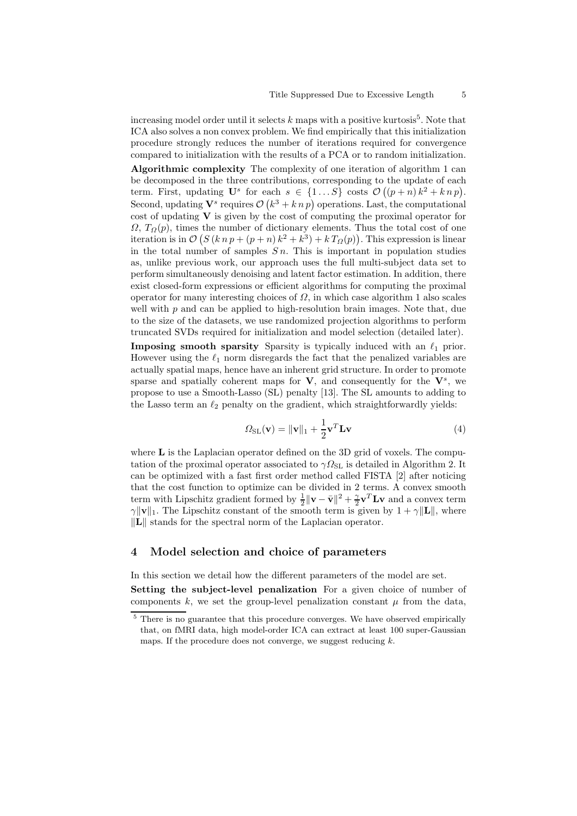increasing model order until it selects  $k$  maps with a positive kurtosis<sup>5</sup>. Note that ICA also solves a non convex problem. We find empirically that this initialization procedure strongly reduces the number of iterations required for convergence compared to initialization with the results of a PCA or to random initialization.

Algorithmic complexity The complexity of one iteration of algorithm 1 can be decomposed in the three contributions, corresponding to the update of each term. First, updating  $\mathbf{U}^s$  for each  $s \in \{1...S\}$  costs  $\mathcal{O}((p+n)k^2 + knp)$ . Second, updating  $\mathbf{V}^s$  requires  $\mathcal{O}(k^3 + k n p)$  operations. Last, the computational cost of updating  $V$  is given by the cost of computing the proximal operator for  $\Omega$ ,  $T_{\Omega}(p)$ , times the number of dictionary elements. Thus the total cost of one iteration is in  $\mathcal{O}(S(k n p + (p+n) k^2 + k^3) + k T_{\Omega}(p))$ . This expression is linear in the total number of samples  $S_n$ . This is important in population studies as, unlike previous work, our approach uses the full multi-subject data set to perform simultaneously denoising and latent factor estimation. In addition, there exist closed-form expressions or efficient algorithms for computing the proximal operator for many interesting choices of  $\Omega$ , in which case algorithm 1 also scales well with  $p$  and can be applied to high-resolution brain images. Note that, due to the size of the datasets, we use randomized projection algorithms to perform truncated SVDs required for initialization and model selection (detailed later).

**Imposing smooth sparsity** Sparsity is typically induced with an  $\ell_1$  prior. However using the  $\ell_1$  norm disregards the fact that the penalized variables are actually spatial maps, hence have an inherent grid structure. In order to promote sparse and spatially coherent maps for  $V$ , and consequently for the  $V^s$ , we propose to use a Smooth-Lasso (SL) penalty [13]. The SL amounts to adding to the Lasso term an  $\ell_2$  penalty on the gradient, which straightforwardly yields:

$$
\Omega_{\text{SL}}(\mathbf{v}) = \|\mathbf{v}\|_1 + \frac{1}{2}\mathbf{v}^T \mathbf{L} \mathbf{v}
$$
\n(4)

where **L** is the Laplacian operator defined on the 3D grid of voxels. The computation of the proximal operator associated to  $\gamma \Omega_{\rm SL}$  is detailed in Algorithm 2. It can be optimized with a fast first order method called FISTA [2] after noticing that the cost function to optimize can be divided in 2 terms. A convex smooth term with Lipschitz gradient formed by  $\frac{1}{2} ||\mathbf{v} - \bar{\mathbf{v}}||^2 + \frac{\gamma}{2} \mathbf{v}^T \mathbf{L} \mathbf{v}$  and a convex term  $\gamma \| \mathbf{v} \|_1$ . The Lipschitz constant of the smooth term is given by  $1 + \gamma \| \mathbf{L} \|$ , where  $\Vert L \Vert$  stands for the spectral norm of the Laplacian operator.

### 4 Model selection and choice of parameters

In this section we detail how the different parameters of the model are set.

Setting the subject-level penalization For a given choice of number of components k, we set the group-level penalization constant  $\mu$  from the data,

<sup>&</sup>lt;sup>5</sup> There is no guarantee that this procedure converges. We have observed empirically that, on fMRI data, high model-order ICA can extract at least 100 super-Gaussian maps. If the procedure does not converge, we suggest reducing  $k$ .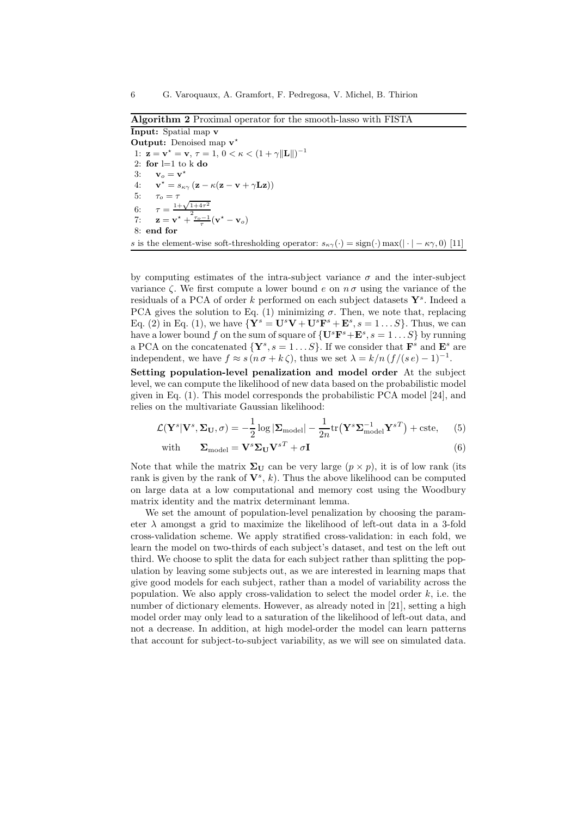Algorithm 2 Proximal operator for the smooth-lasso with FISTA

Input: Spatial map v Output: Denoised map  $v^*$ 1:  $\mathbf{z} = \mathbf{v}^* = \mathbf{v}, \tau = 1, 0 < \kappa < (1 + \gamma ||\mathbf{L}||)^{-1}$ 2: for  $l=1$  to k do 3:  $\mathbf{v}_o = \mathbf{v}^*$  $4:$  $\mathbf{v}^{\star} = s_{\kappa\gamma} (\mathbf{z} - \kappa (\mathbf{z} - \mathbf{v} + \gamma \mathbf{L} \mathbf{z}))$ 5:  $\tau_o = \tau$ 6: ,<br>1+√  $1+4\tau^2$ 2 7:  $\mathbf{z} = \mathbf{v}^* +$  $\tau_o-1$ τ  $(\mathbf{v})$  $^{\star}-\mathbf{v}_o)$ 8: end for s is the element-wise soft-thresholding operator:  $s_{\kappa\gamma}(\cdot) = \text{sign}(\cdot) \max(|\cdot| - \kappa\gamma, 0)$  [11]

by computing estimates of the intra-subject variance  $\sigma$  and the inter-subject variance  $\zeta$ . We first compute a lower bound e on  $n \sigma$  using the variance of the residuals of a PCA of order  $k$  performed on each subject datasets  $\mathbf{Y}^s$ . Indeed a PCA gives the solution to Eq. (1) minimizing  $\sigma$ . Then, we note that, replacing Eq. (2) in Eq. (1), we have  ${\bf Y}^s = {\bf U}^s{\bf V} + {\bf U}^s{\bf F}^s + {\bf E}^s, s = 1...S$ . Thus, we can have a lower bound f on the sum of square of  $\{U^s\mathbf{F}^s + \mathbf{E}^s, s = 1...S\}$  by running a PCA on the concatenated  $\{Y^s, s = 1...S\}$ . If we consider that  $\mathbf{F}^s$  and  $\mathbf{E}^s$  are independent, we have  $f \approx s (n \sigma + k \zeta)$ , thus we set  $\lambda = k/n (f/(s e) - 1)^{-1}$ .

Setting population-level penalization and model order At the subject level, we can compute the likelihood of new data based on the probabilistic model given in Eq. (1). This model corresponds the probabilistic PCA model [24], and relies on the multivariate Gaussian likelihood:

$$
\mathcal{L}(\mathbf{Y}^s | \mathbf{V}^s, \Sigma_{\mathbf{U}}, \sigma) = -\frac{1}{2} \log |\Sigma_{\text{model}}| - \frac{1}{2n} \text{tr}(\mathbf{Y}^s \Sigma_{\text{model}}^{-1} \mathbf{Y}^{sT}) + \text{cste}, \quad (5)
$$

with 
$$
\mathbf{\Sigma}_{\text{model}} = \mathbf{V}^s \mathbf{\Sigma}_{\mathbf{U}} \mathbf{V}^{sT} + \sigma \mathbf{I}
$$
 (6)

Note that while the matrix  $\Sigma_U$  can be very large  $(p \times p)$ , it is of low rank (its rank is given by the rank of  $V^s$ , k). Thus the above likelihood can be computed on large data at a low computational and memory cost using the Woodbury matrix identity and the matrix determinant lemma.

We set the amount of population-level penalization by choosing the parameter  $\lambda$  amongst a grid to maximize the likelihood of left-out data in a 3-fold cross-validation scheme. We apply stratified cross-validation: in each fold, we learn the model on two-thirds of each subject's dataset, and test on the left out third. We choose to split the data for each subject rather than splitting the population by leaving some subjects out, as we are interested in learning maps that give good models for each subject, rather than a model of variability across the population. We also apply cross-validation to select the model order  $k$ , i.e. the number of dictionary elements. However, as already noted in [21], setting a high model order may only lead to a saturation of the likelihood of left-out data, and not a decrease. In addition, at high model-order the model can learn patterns that account for subject-to-subject variability, as we will see on simulated data.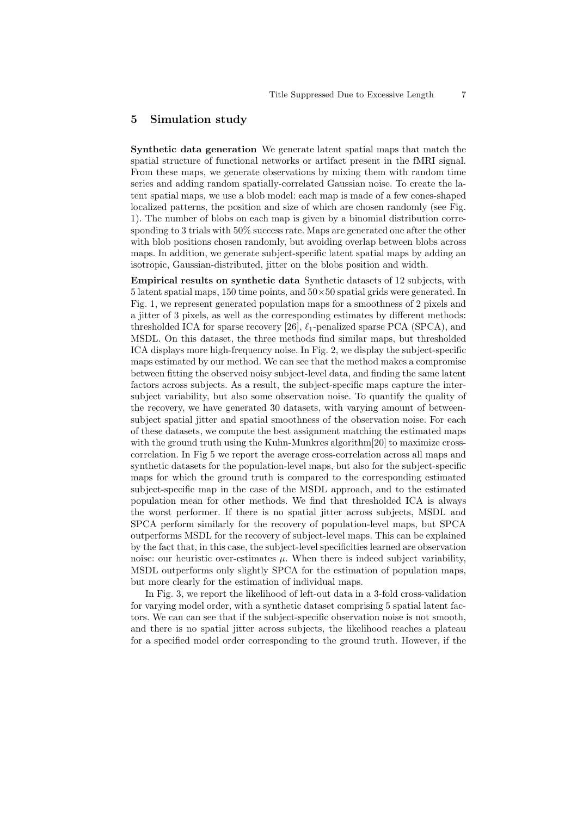## 5 Simulation study

Synthetic data generation We generate latent spatial maps that match the spatial structure of functional networks or artifact present in the fMRI signal. From these maps, we generate observations by mixing them with random time series and adding random spatially-correlated Gaussian noise. To create the latent spatial maps, we use a blob model: each map is made of a few cones-shaped localized patterns, the position and size of which are chosen randomly (see Fig. 1). The number of blobs on each map is given by a binomial distribution corresponding to 3 trials with 50% success rate. Maps are generated one after the other with blob positions chosen randomly, but avoiding overlap between blobs across maps. In addition, we generate subject-specific latent spatial maps by adding an isotropic, Gaussian-distributed, jitter on the blobs position and width.

Empirical results on synthetic data Synthetic datasets of 12 subjects, with 5 latent spatial maps, 150 time points, and  $50\times50$  spatial grids were generated. In Fig. 1, we represent generated population maps for a smoothness of 2 pixels and a jitter of 3 pixels, as well as the corresponding estimates by different methods: thresholded ICA for sparse recovery [26],  $\ell_1$ -penalized sparse PCA (SPCA), and MSDL. On this dataset, the three methods find similar maps, but thresholded ICA displays more high-frequency noise. In Fig. 2, we display the subject-specific maps estimated by our method. We can see that the method makes a compromise between fitting the observed noisy subject-level data, and finding the same latent factors across subjects. As a result, the subject-specific maps capture the intersubject variability, but also some observation noise. To quantify the quality of the recovery, we have generated 30 datasets, with varying amount of betweensubject spatial jitter and spatial smoothness of the observation noise. For each of these datasets, we compute the best assignment matching the estimated maps with the ground truth using the Kuhn-Munkres algorithm<sup>[20]</sup> to maximize crosscorrelation. In Fig 5 we report the average cross-correlation across all maps and synthetic datasets for the population-level maps, but also for the subject-specific maps for which the ground truth is compared to the corresponding estimated subject-specific map in the case of the MSDL approach, and to the estimated population mean for other methods. We find that thresholded ICA is always the worst performer. If there is no spatial jitter across subjects, MSDL and SPCA perform similarly for the recovery of population-level maps, but SPCA outperforms MSDL for the recovery of subject-level maps. This can be explained by the fact that, in this case, the subject-level specificities learned are observation noise: our heuristic over-estimates  $\mu$ . When there is indeed subject variability, MSDL outperforms only slightly SPCA for the estimation of population maps, but more clearly for the estimation of individual maps.

In Fig. 3, we report the likelihood of left-out data in a 3-fold cross-validation for varying model order, with a synthetic dataset comprising 5 spatial latent factors. We can can see that if the subject-specific observation noise is not smooth, and there is no spatial jitter across subjects, the likelihood reaches a plateau for a specified model order corresponding to the ground truth. However, if the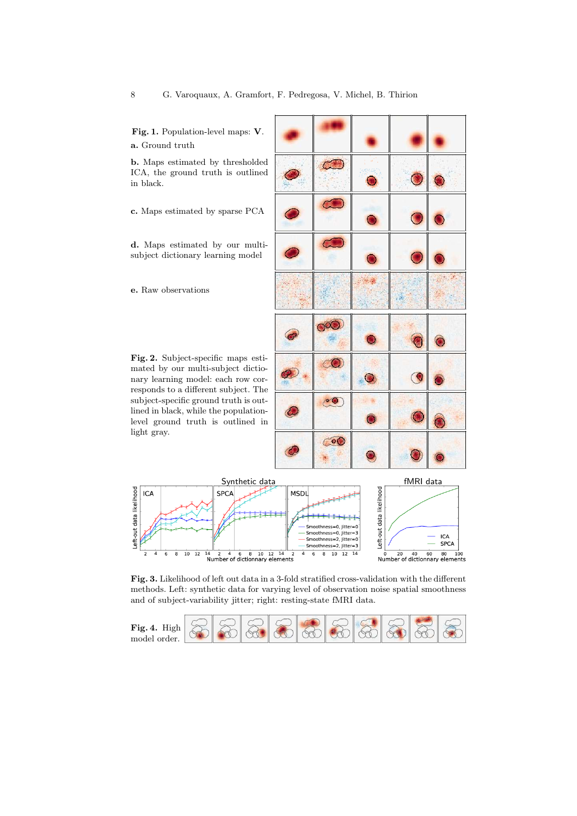Fig. 1. Population-level maps: V. a. Ground truth

b. Maps estimated by thresholded ICA, the ground truth is outlined in black.

c. Maps estimated by sparse PCA

d. Maps estimated by our multisubject dictionary learning model

e. Raw observations

Left-out data likelihood

ICA

Fig. 2. Subject-specific maps estimated by our multi-subject dictionary learning model: each row corresponds to a different subject. The subject-specific ground truth is outlined in black, while the populationlevel ground truth is outlined in light gray.

> $\overline{10}$ -a

 $\overline{12}$ 



**SPCA** 

Fig. 3. Likelihood of left out data in a 3-fold stratified cross-validation with the different methods. Left: synthetic data for varying level of observation noise spatial smoothness and of subject-variability jitter; right: resting-state fMRI data.

 $\frac{1}{4}$ 

 $\frac{1}{14}$   $\frac{1}{2}$   $\frac{1}{4}$   $\frac{1}{6}$   $\frac{1}{8}$   $\frac{1}{10}$   $\frac{1}{2}$   $\frac{1}{2}$ <br>Number of dictionnary elements

Smoothness=2. litter=3

 $6\quad 8\quad 10\quad 12\quad 14$ 

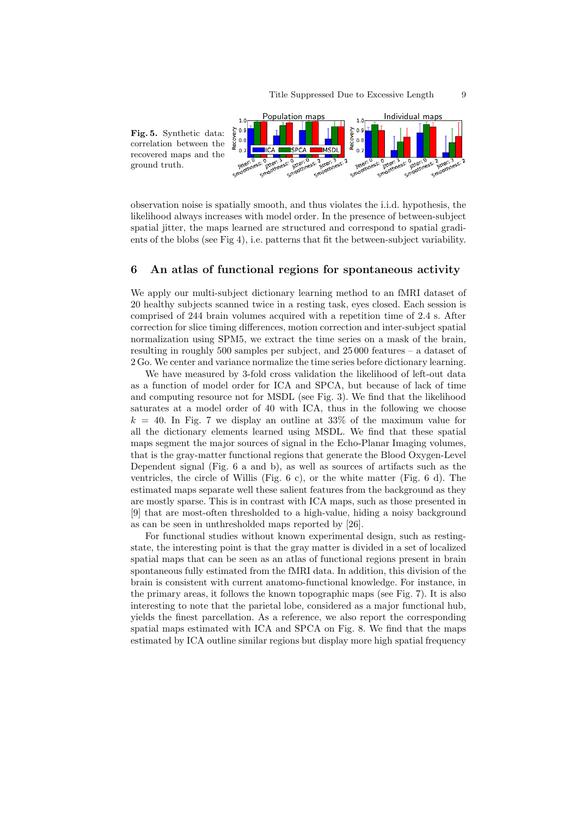

observation noise is spatially smooth, and thus violates the i.i.d. hypothesis, the likelihood always increases with model order. In the presence of between-subject spatial jitter, the maps learned are structured and correspond to spatial gradients of the blobs (see Fig 4), i.e. patterns that fit the between-subject variability.

# 6 An atlas of functional regions for spontaneous activity

We apply our multi-subject dictionary learning method to an fMRI dataset of 20 healthy subjects scanned twice in a resting task, eyes closed. Each session is comprised of 244 brain volumes acquired with a repetition time of 2.4 s. After correction for slice timing differences, motion correction and inter-subject spatial normalization using SPM5, we extract the time series on a mask of the brain, resulting in roughly 500 samples per subject, and 25 000 features – a dataset of 2 Go. We center and variance normalize the time series before dictionary learning.

We have measured by 3-fold cross validation the likelihood of left-out data as a function of model order for ICA and SPCA, but because of lack of time and computing resource not for MSDL (see Fig. 3). We find that the likelihood saturates at a model order of 40 with ICA, thus in the following we choose  $k = 40$ . In Fig. 7 we display an outline at 33% of the maximum value for all the dictionary elements learned using MSDL. We find that these spatial maps segment the major sources of signal in the Echo-Planar Imaging volumes, that is the gray-matter functional regions that generate the Blood Oxygen-Level Dependent signal (Fig. 6 a and b), as well as sources of artifacts such as the ventricles, the circle of Willis (Fig.  $6$  c), or the white matter (Fig.  $6$  d). The estimated maps separate well these salient features from the background as they are mostly sparse. This is in contrast with ICA maps, such as those presented in [9] that are most-often thresholded to a high-value, hiding a noisy background as can be seen in unthresholded maps reported by [26].

For functional studies without known experimental design, such as restingstate, the interesting point is that the gray matter is divided in a set of localized spatial maps that can be seen as an atlas of functional regions present in brain spontaneous fully estimated from the fMRI data. In addition, this division of the brain is consistent with current anatomo-functional knowledge. For instance, in the primary areas, it follows the known topographic maps (see Fig. 7). It is also interesting to note that the parietal lobe, considered as a major functional hub, yields the finest parcellation. As a reference, we also report the corresponding spatial maps estimated with ICA and SPCA on Fig. 8. We find that the maps estimated by ICA outline similar regions but display more high spatial frequency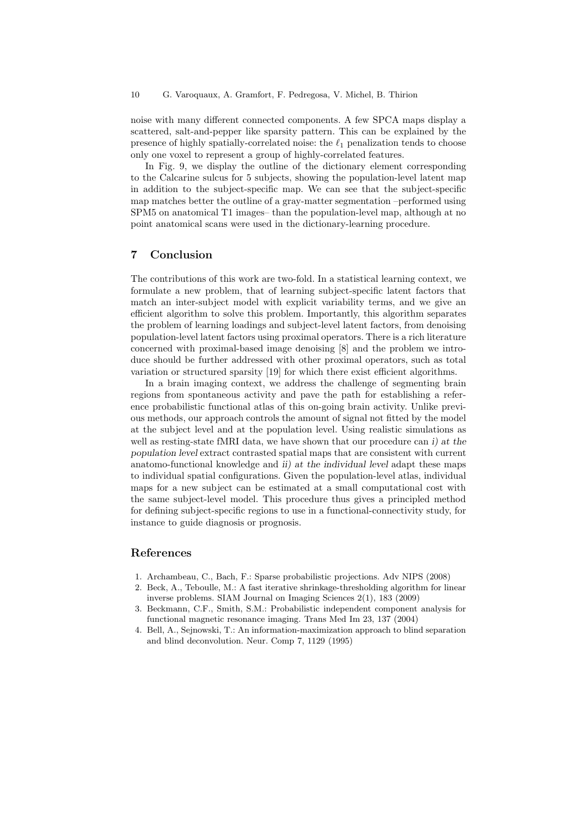noise with many different connected components. A few SPCA maps display a scattered, salt-and-pepper like sparsity pattern. This can be explained by the presence of highly spatially-correlated noise: the  $\ell_1$  penalization tends to choose only one voxel to represent a group of highly-correlated features.

In Fig. 9, we display the outline of the dictionary element corresponding to the Calcarine sulcus for 5 subjects, showing the population-level latent map in addition to the subject-specific map. We can see that the subject-specific map matches better the outline of a gray-matter segmentation –performed using SPM5 on anatomical T1 images– than the population-level map, although at no point anatomical scans were used in the dictionary-learning procedure.

### 7 Conclusion

The contributions of this work are two-fold. In a statistical learning context, we formulate a new problem, that of learning subject-specific latent factors that match an inter-subject model with explicit variability terms, and we give an efficient algorithm to solve this problem. Importantly, this algorithm separates the problem of learning loadings and subject-level latent factors, from denoising population-level latent factors using proximal operators. There is a rich literature concerned with proximal-based image denoising [8] and the problem we introduce should be further addressed with other proximal operators, such as total variation or structured sparsity [19] for which there exist efficient algorithms.

In a brain imaging context, we address the challenge of segmenting brain regions from spontaneous activity and pave the path for establishing a reference probabilistic functional atlas of this on-going brain activity. Unlike previous methods, our approach controls the amount of signal not fitted by the model at the subject level and at the population level. Using realistic simulations as well as resting-state fMRI data, we have shown that our procedure can i) at the population level extract contrasted spatial maps that are consistent with current anatomo-functional knowledge and ii) at the individual level adapt these maps to individual spatial configurations. Given the population-level atlas, individual maps for a new subject can be estimated at a small computational cost with the same subject-level model. This procedure thus gives a principled method for defining subject-specific regions to use in a functional-connectivity study, for instance to guide diagnosis or prognosis.

## References

- 1. Archambeau, C., Bach, F.: Sparse probabilistic projections. Adv NIPS (2008)
- 2. Beck, A., Teboulle, M.: A fast iterative shrinkage-thresholding algorithm for linear inverse problems. SIAM Journal on Imaging Sciences 2(1), 183 (2009)
- 3. Beckmann, C.F., Smith, S.M.: Probabilistic independent component analysis for functional magnetic resonance imaging. Trans Med Im 23, 137 (2004)
- 4. Bell, A., Sejnowski, T.: An information-maximization approach to blind separation and blind deconvolution. Neur. Comp 7, 1129 (1995)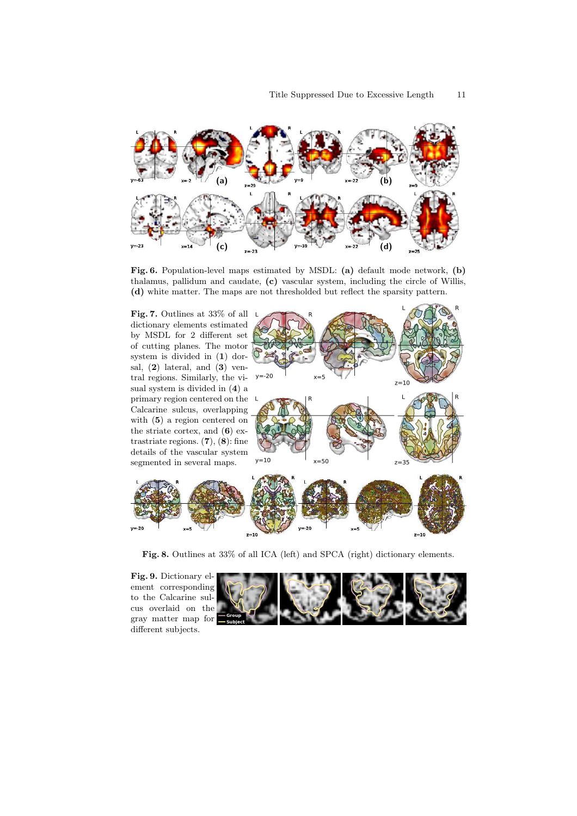

Fig. 6. Population-level maps estimated by MSDL: (a) default mode network, (b) thalamus, pallidum and caudate, (c) vascular system, including the circle of Willis, (d) white matter. The maps are not thresholded but reflect the sparsity pattern.

Fig. 7. Outlines at 33% of all dictionary elements estimated by MSDL for 2 different set of cutting planes. The motor system is divided in (1) dorsal, (2) lateral, and (3) ventral regions. Similarly, the visual system is divided in (4) a primary region centered on the Calcarine sulcus, overlapping with (5) a region centered on the striate cortex, and (6) extrastriate regions.  $(7), (8)$ : fine details of the vascular system segmented in several maps.





Fig. 8. Outlines at 33% of all ICA (left) and SPCA (right) dictionary elements.

Fig. 9. Dictionary element corresponding to the Calcarine sulcus overlaid on the gray matter map for different subjects.